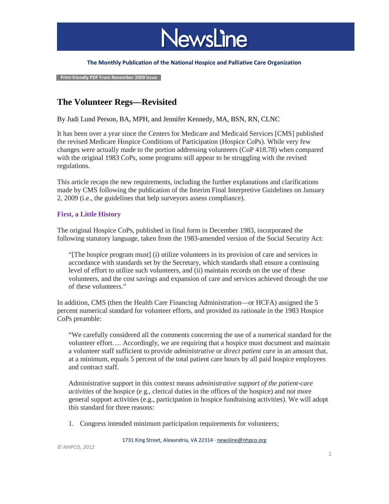

#### **The Monthly Publication of the National Hospice and Palliative Care Organization**

 **Print-friendly PDF From November 2009 Issue**

# **The Volunteer Regs—Revisited**

By Judi Lund Person, BA, MPH, and Jennifer Kennedy, MA, BSN, RN, CLNC

It has been over a year since the Centers for Medicare and Medicaid Services [CMS] published the revised Medicare Hospice Conditions of Participation (Hospice CoPs). While very few changes were actually made to the portion addressing volunteers (CoP 418.78) when compared with the original 1983 CoPs, some programs still appear to be struggling with the revised regulations.

This article recaps the new requirements, including the further explanations and clarifications made by CMS following the publication of the Interim Final Interpretive Guidelines on January 2, 2009 (i.e., the guidelines that help surveyors assess compliance).

## **First, a Little History**

The original Hospice CoPs, published in final form in December 1983, incorporated the following statutory language, taken from the 1983-amended version of the Social Security Act:

"[The hospice program must] (i) utilize volunteers in its provision of care and services in accordance with standards set by the Secretary, which standards shall ensure a continuing level of effort to utilize such volunteers, and (ii) maintain records on the use of these volunteers, and the cost savings and expansion of care and services achieved through the use of these volunteers."

In addition, CMS (then the Health Care Financing Administration—or HCFA) assigned the 5 percent numerical standard for volunteer efforts, and provided its rationale in the 1983 Hospice CoPs preamble:

"We carefully considered all the comments concerning the use of a numerical standard for the volunteer effort…. Accordingly, we are requiring that a hospice must document and maintain a volunteer staff sufficient to provide *administrative* or *direct patient care* in an amount that, at a minimum, equals 5 percent of the total patient care hours by all paid hospice employees and contract staff.

Administrative support in this context means *administrative support of the patient-care activities* of the hospice (e g., clerical duties in the offices of the hospice) and *not* more general support activities (e.g., participation in hospice fundraising activities). We will adopt this standard for three reasons:

1. Congress intended minimum participation requirements for volunteers;

1731 King Street, Alexandria, VA 22314 ⋅ [newsline@nhpco.org](mailto:newsline@nhpco.org)

*© NHPCO, 2012*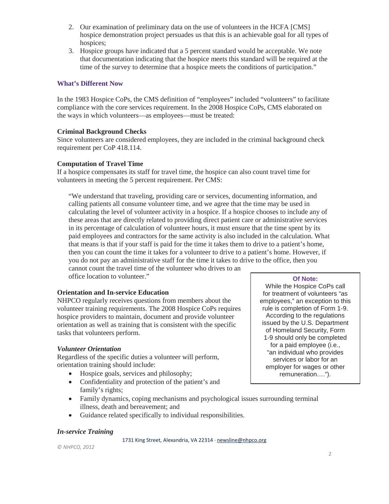- 2. Our examination of preliminary data on the use of volunteers in the HCFA [CMS] hospice demonstration project persuades us that this is an achievable goal for all types of hospices;
- 3. Hospice groups have indicated that a 5 percent standard would be acceptable. We note that documentation indicating that the hospice meets this standard will be required at the time of the survey to determine that a hospice meets the conditions of participation."

## **What's Different Now**

In the 1983 Hospice CoPs, the CMS definition of "employees" included "volunteers" to facilitate compliance with the core services requirement. In the 2008 Hospice CoPs, CMS elaborated on the ways in which volunteers—as employees—must be treated:

## **Criminal Background Checks**

Since volunteers are considered employees, they are included in the criminal background check requirement per CoP 418.114.

## **Computation of Travel Time**

If a hospice compensates its staff for travel time, the hospice can also count travel time for volunteers in meeting the 5 percent requirement. Per CMS:

"We understand that traveling, providing care or services, documenting information, and calling patients all consume volunteer time, and we agree that the time may be used in calculating the level of volunteer activity in a hospice. If a hospice chooses to include any of these areas that are directly related to providing direct patient care or administrative services in its percentage of calculation of volunteer hours, it must ensure that the time spent by its paid employees and contractors for the same activity is also included in the calculation. What that means is that if your staff is paid for the time it takes them to drive to a patient's home, then you can count the time it takes for a volunteer to drive to a patient's home. However, if you do not pay an administrative staff for the time it takes to drive to the office, then you cannot count the travel time of the volunteer who drives to an

office location to volunteer."

# **Orientation and In-service Education**

NHPCO regularly receives questions from members about the volunteer training requirements. The 2008 Hospice CoPs requires hospice providers to maintain, document and provide volunteer orientation as well as training that is consistent with the specific tasks that volunteers perform.

### *Volunteer Orientation*

Regardless of the specific duties a volunteer will perform, orientation training should include:

- Hospice goals, services and philosophy;
- Confidentiality and protection of the patient's and family's rights;
- Family dynamics, coping mechanisms and psychological issues surrounding terminal illness, death and bereavement; and
- Guidance related specifically to individual responsibilities.

### *In-service Training*

1731 King Street, Alexandria, VA 22314 ⋅ [newsline@nhpco.org](mailto:newsline@nhpco.org)

*© NHPCO, 2012*

### **Of Note:**

While the Hospice CoPs call for treatment of volunteers "as employees," an exception to this rule is completion of Form 1-9. According to the regulations issued by the U.S. Department of Homeland Security, Form 1-9 should only be completed for a paid employee (i.e., "an individual who provides services or labor for an employer for wages or other remuneration….").